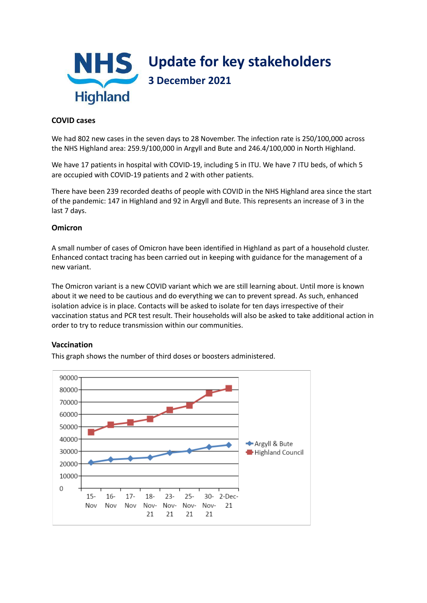

# **COVID cases**

We had 802 new cases in the seven days to 28 November. The infection rate is 250/100,000 across the NHS Highland area: 259.9/100,000 in Argyll and Bute and 246.4/100,000 in North Highland.

We have 17 patients in hospital with COVID-19, including 5 in ITU. We have 7 ITU beds, of which 5 are occupied with COVID-19 patients and 2 with other patients.

There have been 239 recorded deaths of people with COVID in the NHS Highland area since the start of the pandemic: 147 in Highland and 92 in Argyll and Bute. This represents an increase of 3 in the last 7 days.

# **Omicron**

A small number of cases of Omicron have been identified in Highland as part of a household cluster. Enhanced contact tracing has been carried out in keeping with guidance for the management of a new variant.

The Omicron variant is a new COVID variant which we are still learning about. Until more is known about it we need to be cautious and do everything we can to prevent spread. As such, enhanced isolation advice is in place. Contacts will be asked to isolate for ten days irrespective of their vaccination status and PCR test result. Their households will also be asked to take additional action in order to try to reduce transmission within our communities.

## **Vaccination**

This graph shows the number of third doses or boosters administered.

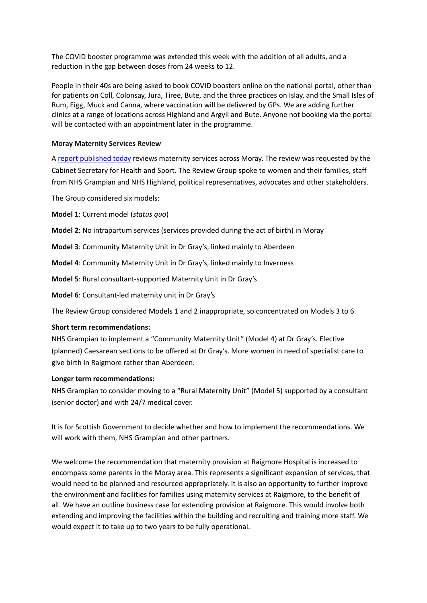The COVID booster programme was extended this week with the addition of all adults, and a reduction in the gap between doses from 24 weeks to 12.

People in their 40s are being asked to book COVID boosters online on the national portal, other than for patients on Coll, Colonsay, Jura, Tiree, Bute, and the three practices on Islay, and the Small Isles of Rum, Eigg, Muck and Canna, where vaccination will be delivered by GPs. We are adding further clinics at a range of locations across Highland and Argyll and Bute. Anyone not booking via the portal will be contacted with an appointment later in the programme.

## **Moray Maternity Services Review**

A report [published](https://www.gov.scot/publications/report-moray-maternity-services-review/) today reviews maternity services across Moray. The review was requested by the Cabinet Secretary for Health and Sport. The Review Group spoke to women and their families, staff from NHS Grampian and NHS Highland, political representatives, advocates and other stakeholders.

The Group considered six models:

**Model 1**: Current model (*status quo*)

**Model 2**: No intrapartum services (services provided during the act of birth) in Moray

**Model 3**: Community Maternity Unit in Dr Gray's, linked mainly to Aberdeen

**Model 4**: Community Maternity Unit in Dr Gray's, linked mainly to Inverness

**Model 5**: Rural consultant-supported Maternity Unit in Dr Gray's

**Model 6**: Consultant-led maternity unit in Dr Gray's

The Review Group considered Models 1 and 2 inappropriate, so concentrated on Models 3 to 6.

## **Short term recommendations:**

NHS Grampian to implement a "Community Maternity Unit" (Model 4) at Dr Gray's. Elective (planned) Caesarean sections to be offered at Dr Gray's. More women in need of specialist care to give birth in Raigmore rather than Aberdeen.

## **Longer term recommendations:**

NHS Grampian to consider moving to a "Rural Maternity Unit" (Model 5) supported by a consultant (senior doctor) and with 24/7 medical cover.

It is for Scottish Government to decide whether and how to implement the recommendations. We will work with them, NHS Grampian and other partners.

We welcome the recommendation that maternity provision at Raigmore Hospital is increased to encompass some parents in the Moray area. This represents a significant expansion of services, that would need to be planned and resourced appropriately. It is also an opportunity to further improve the environment and facilities for families using maternity services at Raigmore, to the benefit of all. We have an outline business case for extending provision at Raigmore. This would involve both extending and improving the facilities within the building and recruiting and training more staff. We would expect it to take up to two years to be fully operational.